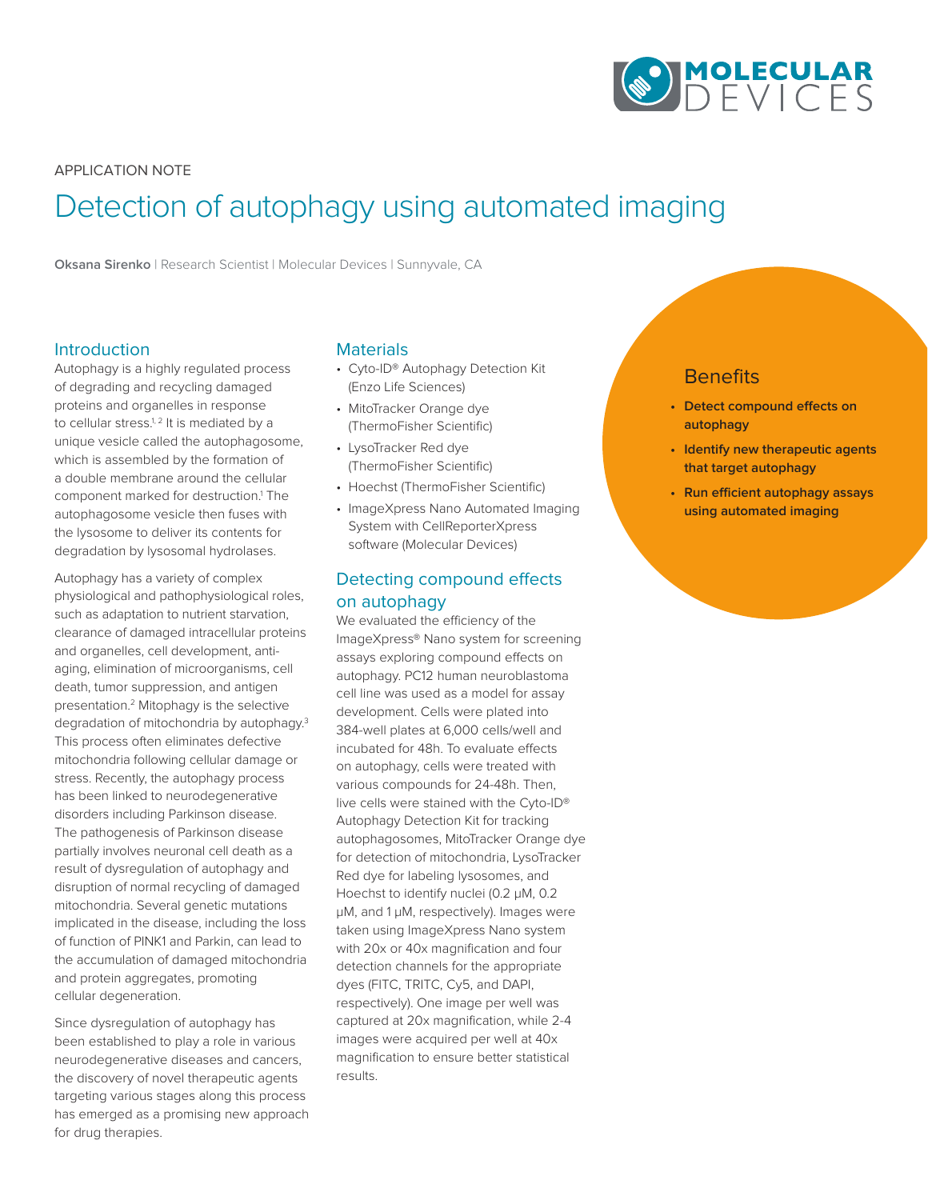

APPLICATION NOTE

# Detection of autophagy using automated imaging

**Oksana Sirenko** | Research Scientist | Molecular Devices | Sunnyvale, CA

### Introduction

Autophagy is a highly regulated process of degrading and recycling damaged proteins and organelles in response to cellular stress.<sup>1, 2</sup> It is mediated by a unique vesicle called the autophagosome, which is assembled by the formation of a double membrane around the cellular component marked for destruction.<sup>1</sup> The autophagosome vesicle then fuses with the lysosome to deliver its contents for degradation by lysosomal hydrolases.

Autophagy has a variety of complex physiological and pathophysiological roles, such as adaptation to nutrient starvation, clearance of damaged intracellular proteins and organelles, cell development, antiaging, elimination of microorganisms, cell death, tumor suppression, and antigen presentation.2 Mitophagy is the selective degradation of mitochondria by autophagy.3 This process often eliminates defective mitochondria following cellular damage or stress. Recently, the autophagy process has been linked to neurodegenerative disorders including Parkinson disease. The pathogenesis of Parkinson disease partially involves neuronal cell death as a result of dysregulation of autophagy and disruption of normal recycling of damaged mitochondria. Several genetic mutations implicated in the disease, including the loss of function of PINK1 and Parkin, can lead to the accumulation of damaged mitochondria and protein aggregates, promoting cellular degeneration.

Since dysregulation of autophagy has been established to play a role in various neurodegenerative diseases and cancers, the discovery of novel therapeutic agents targeting various stages along this process has emerged as a promising new approach for drug therapies.

## **Materials**

- Cyto-ID® Autophagy Detection Kit (Enzo Life Sciences)
- MitoTracker Orange dye (ThermoFisher Scientific)
- LysoTracker Red dye (ThermoFisher Scientific)
- Hoechst (ThermoFisher Scientific)
- ImageXpress Nano Automated Imaging System with CellReporterXpress software (Molecular Devices)

## Detecting compound effects on autophagy

We evaluated the efficiency of the ImageXpress® Nano system for screening assays exploring compound effects on autophagy. PC12 human neuroblastoma cell line was used as a model for assay development. Cells were plated into 384-well plates at 6,000 cells/well and incubated for 48h. To evaluate effects on autophagy, cells were treated with various compounds for 24-48h. Then, live cells were stained with the Cyto-ID® Autophagy Detection Kit for tracking autophagosomes, MitoTracker Orange dye for detection of mitochondria, LysoTracker Red dye for labeling lysosomes, and Hoechst to identify nuclei (0.2 µM, 0.2 µM, and 1 µM, respectively). Images were taken using ImageXpress Nano system with 20x or 40x magnification and four detection channels for the appropriate dyes (FITC, TRITC, Cy5, and DAPI, respectively). One image per well was captured at 20x magnification, while 2-4 images were acquired per well at 40x magnification to ensure better statistical results.

## **Benefits**

- **• Detect compound effects on autophagy**
- **• Identify new therapeutic agents that target autophagy**
- **• Run efficient autophagy assays using automated imaging**